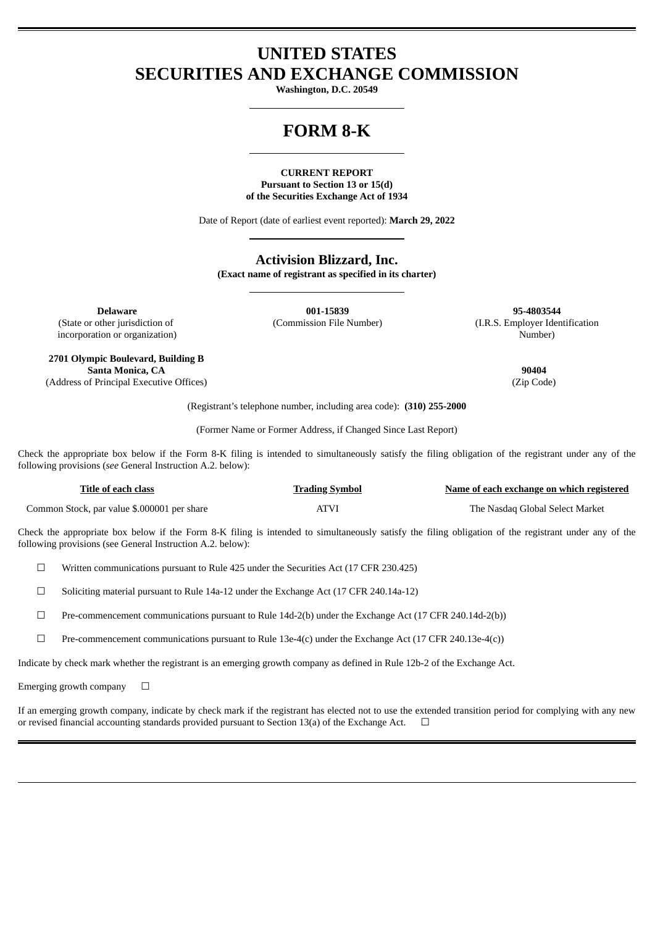## **UNITED STATES SECURITIES AND EXCHANGE COMMISSION**

**Washington, D.C. 20549**

# **FORM 8-K**

#### **CURRENT REPORT Pursuant to Section 13 or 15(d) of the Securities Exchange Act of 1934**

Date of Report (date of earliest event reported): **March 29, 2022**

## **Activision Blizzard, Inc.**

**(Exact name of registrant as specified in its charter)**

(State or other jurisdiction of incorporation or organization)

**Delaware 001-15839 95-4803544**

(Commission File Number) (I.R.S. Employer Identification Number)

**2701 Olympic Boulevard, Building B Santa Monica, CA 90404** (Address of Principal Executive Offices) (Zip Code)

(Registrant's telephone number, including area code): **(310) 255-2000**

(Former Name or Former Address, if Changed Since Last Report)

Check the appropriate box below if the Form 8-K filing is intended to simultaneously satisfy the filing obligation of the registrant under any of the following provisions (*see* General Instruction A.2. below):

| Title of each class                         | <b>Trading Symbol</b> | Name of each exchange on which registered |
|---------------------------------------------|-----------------------|-------------------------------------------|
| Common Stock, par value \$.000001 per share | ATVI                  | The Nasdag Global Select Market           |

Check the appropriate box below if the Form 8-K filing is intended to simultaneously satisfy the filing obligation of the registrant under any of the following provisions (see General Instruction A.2. below):

 $\Box$  Written communications pursuant to Rule 425 under the Securities Act (17 CFR 230.425)

☐ Soliciting material pursuant to Rule 14a-12 under the Exchange Act (17 CFR 240.14a-12)

 $□$  Pre-commencement communications pursuant to Rule 14d-2(b) under the Exchange Act (17 CFR 240.14d-2(b))

 $□$  Pre-commencement communications pursuant to Rule 13e-4(c) under the Exchange Act (17 CFR 240.13e-4(c))

Indicate by check mark whether the registrant is an emerging growth company as defined in Rule 12b-2 of the Exchange Act.

Emerging growth company  $\Box$ 

If an emerging growth company, indicate by check mark if the registrant has elected not to use the extended transition period for complying with any new or revised financial accounting standards provided pursuant to Section 13(a) of the Exchange Act.  $\Box$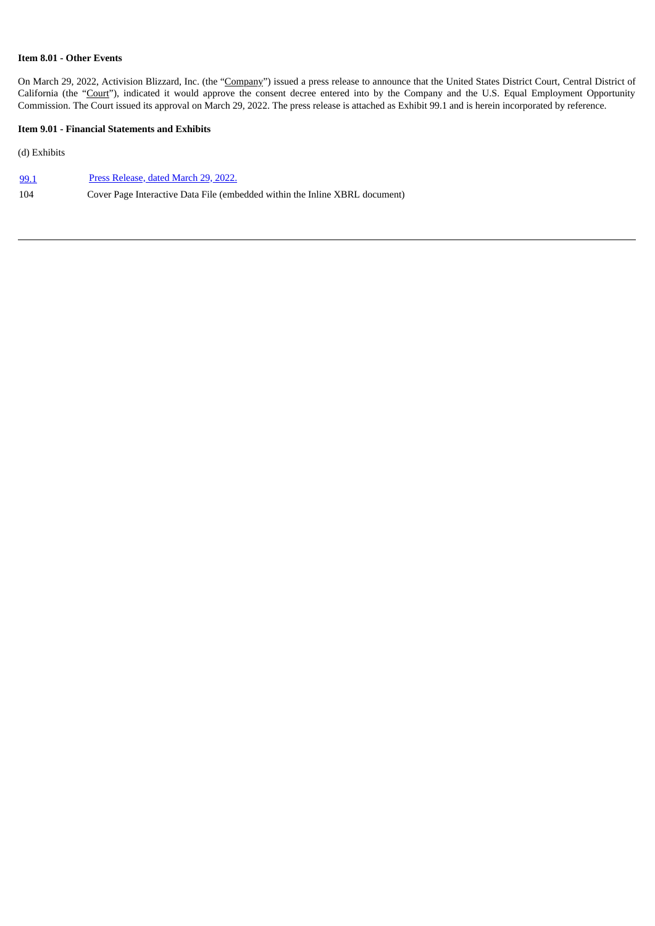## **Item 8.01 - Other Events**

On March 29, 2022, Activision Blizzard, Inc. (the "Company") issued a press release to announce that the United States District Court, Central District of California (the "Court"), indicated it would approve the consent decree entered into by the Company and the U.S. Equal Employment Opportunity Commission. The Court issued its approval on March 29, 2022. The press release is attached as Exhibit 99.1 and is herein incorporated by reference.

#### **Item 9.01 - Financial Statements and Exhibits**

(d) Exhibits

- [99.1](#page-3-0) Press [Release,](#page-3-0) dated March 29, 2022.
- 104 Cover Page Interactive Data File (embedded within the Inline XBRL document)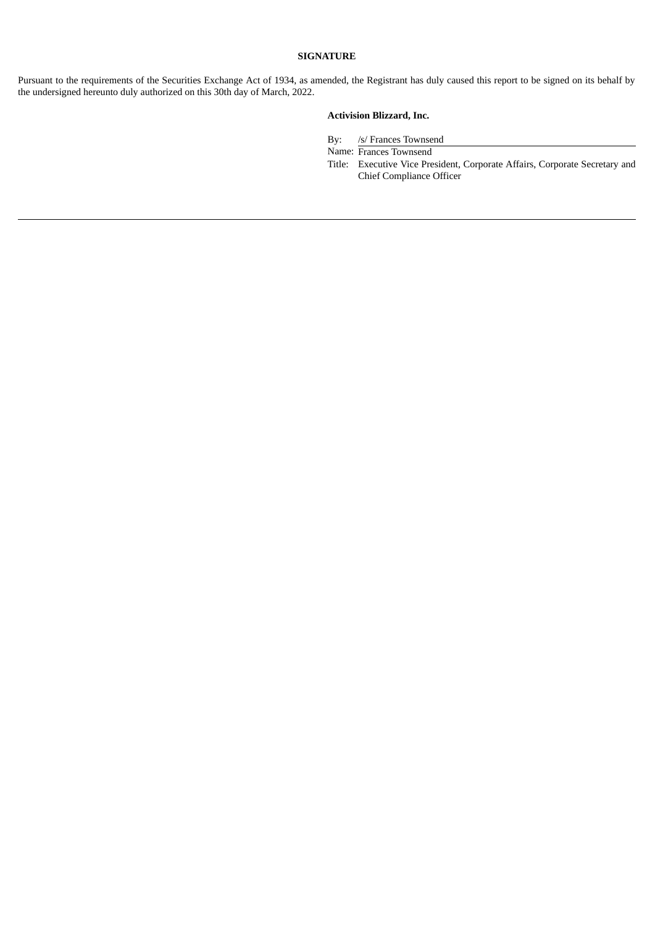### **SIGNATURE**

Pursuant to the requirements of the Securities Exchange Act of 1934, as amended, the Registrant has duly caused this report to be signed on its behalf by the undersigned hereunto duly authorized on this 30th day of March, 2022.

## **Activision Blizzard, Inc.**

By: /s/ Frances Townsend

Name: Frances Townsend

Title: Executive Vice President, Corporate Affairs, Corporate Secretary and Chief Compliance Officer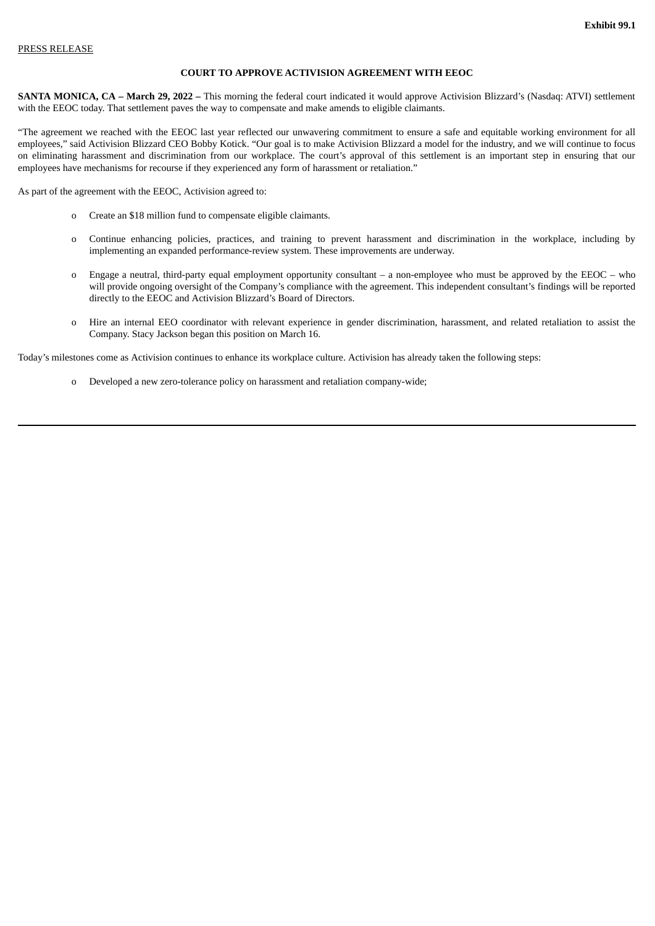### **COURT TO APPROVE ACTIVISION AGREEMENT WITH EEOC**

<span id="page-3-0"></span>**SANTA MONICA, CA – March 29, 2022 –** This morning the federal court indicated it would approve Activision Blizzard's (Nasdaq: ATVI) settlement with the EEOC today. That settlement paves the way to compensate and make amends to eligible claimants.

"The agreement we reached with the EEOC last year reflected our unwavering commitment to ensure a safe and equitable working environment for all employees," said Activision Blizzard CEO Bobby Kotick. "Our goal is to make Activision Blizzard a model for the industry, and we will continue to focus on eliminating harassment and discrimination from our workplace. The court's approval of this settlement is an important step in ensuring that our employees have mechanisms for recourse if they experienced any form of harassment or retaliation."

As part of the agreement with the EEOC, Activision agreed to:

- o Create an \$18 million fund to compensate eligible claimants.
- o Continue enhancing policies, practices, and training to prevent harassment and discrimination in the workplace, including by implementing an expanded performance-review system. These improvements are underway.
- o Engage a neutral, third-party equal employment opportunity consultant a non-employee who must be approved by the EEOC who will provide ongoing oversight of the Company's compliance with the agreement. This independent consultant's findings will be reported directly to the EEOC and Activision Blizzard's Board of Directors.
- o Hire an internal EEO coordinator with relevant experience in gender discrimination, harassment, and related retaliation to assist the Company. Stacy Jackson began this position on March 16.

Today's milestones come as Activision continues to enhance its workplace culture. Activision has already taken the following steps:

o Developed a new zero-tolerance policy on harassment and retaliation company-wide;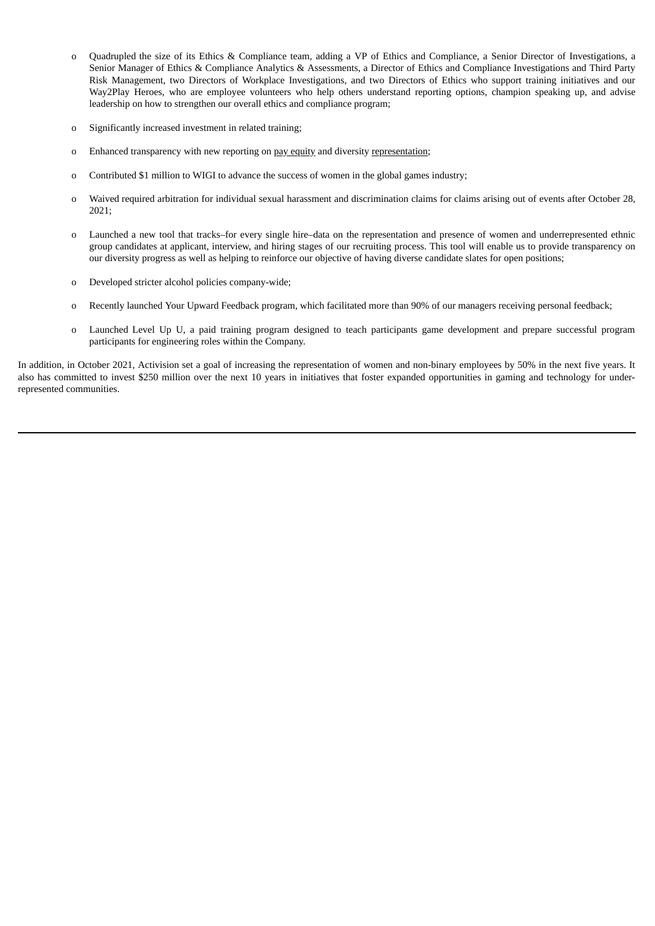- o Quadrupled the size of its Ethics & Compliance team, adding a VP of Ethics and Compliance, a Senior Director of Investigations, a Senior Manager of Ethics & Compliance Analytics & Assessments, a Director of Ethics and Compliance Investigations and Third Party Risk Management, two Directors of Workplace Investigations, and two Directors of Ethics who support training initiatives and our Way2Play Heroes, who are employee volunteers who help others understand reporting options, champion speaking up, and advise leadership on how to strengthen our overall ethics and compliance program;
- o Significantly increased investment in related training;
- o Enhanced transparency with new reporting on pay equity and diversity representation;
- o Contributed \$1 million to WIGI to advance the success of women in the global games industry;
- o Waived required arbitration for individual sexual harassment and discrimination claims for claims arising out of events after October 28, 2021;
- o Launched a new tool that tracks–for every single hire–data on the representation and presence of women and underrepresented ethnic group candidates at applicant, interview, and hiring stages of our recruiting process. This tool will enable us to provide transparency on our diversity progress as well as helping to reinforce our objective of having diverse candidate slates for open positions;
- o Developed stricter alcohol policies company-wide;
- o Recently launched Your Upward Feedback program, which facilitated more than 90% of our managers receiving personal feedback;
- o Launched Level Up U, a paid training program designed to teach participants game development and prepare successful program participants for engineering roles within the Company.

In addition, in October 2021, Activision set a goal of increasing the representation of women and non-binary employees by 50% in the next five years. It also has committed to invest \$250 million over the next 10 years in initiatives that foster expanded opportunities in gaming and technology for underrepresented communities.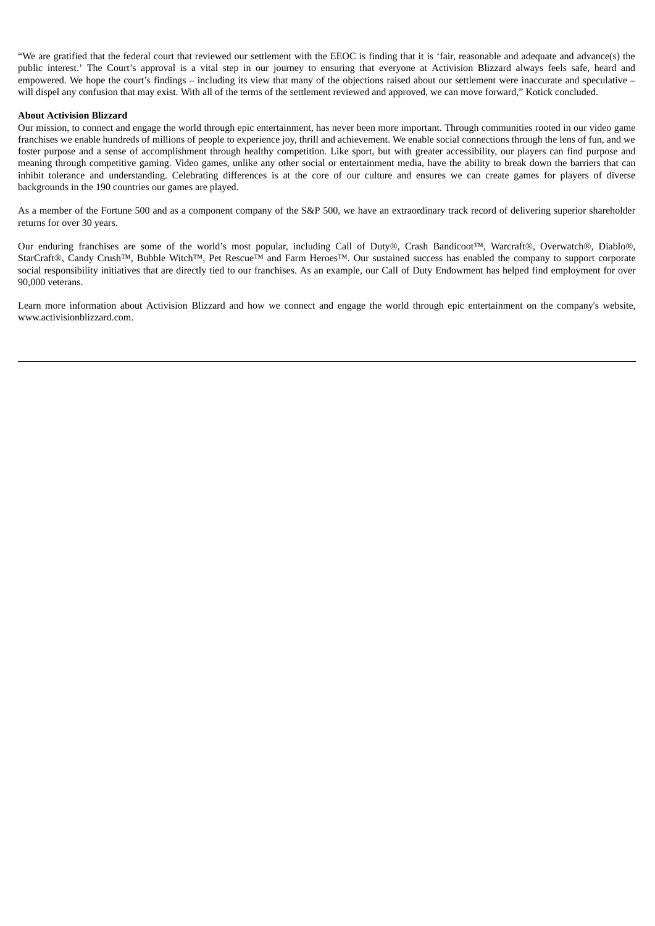"We are gratified that the federal court that reviewed our settlement with the EEOC is finding that it is 'fair, reasonable and adequate and advance(s) the public interest.' The Court's approval is a vital step in our journey to ensuring that everyone at Activision Blizzard always feels safe, heard and empowered. We hope the court's findings – including its view that many of the objections raised about our settlement were inaccurate and speculative – will dispel any confusion that may exist. With all of the terms of the settlement reviewed and approved, we can move forward," Kotick concluded.

#### **About Activision Blizzard**

Our mission, to connect and engage the world through epic entertainment, has never been more important. Through communities rooted in our video game franchises we enable hundreds of millions of people to experience joy, thrill and achievement. We enable social connections through the lens of fun, and we foster purpose and a sense of accomplishment through healthy competition. Like sport, but with greater accessibility, our players can find purpose and meaning through competitive gaming. Video games, unlike any other social or entertainment media, have the ability to break down the barriers that can inhibit tolerance and understanding. Celebrating differences is at the core of our culture and ensures we can create games for players of diverse backgrounds in the 190 countries our games are played.

As a member of the Fortune 500 and as a component company of the S&P 500, we have an extraordinary track record of delivering superior shareholder returns for over 30 years.

Our enduring franchises are some of the world's most popular, including Call of Duty®, Crash Bandicoot™, Warcraft®, Overwatch®, Diablo®, StarCraft®, Candy Crush™, Bubble Witch™, Pet Rescue™ and Farm Heroes™. Our sustained success has enabled the company to support corporate social responsibility initiatives that are directly tied to our franchises. As an example, our Call of Duty Endowment has helped find employment for over 90,000 veterans.

Learn more information about Activision Blizzard and how we connect and engage the world through epic entertainment on the company's website, www.activisionblizzard.com.